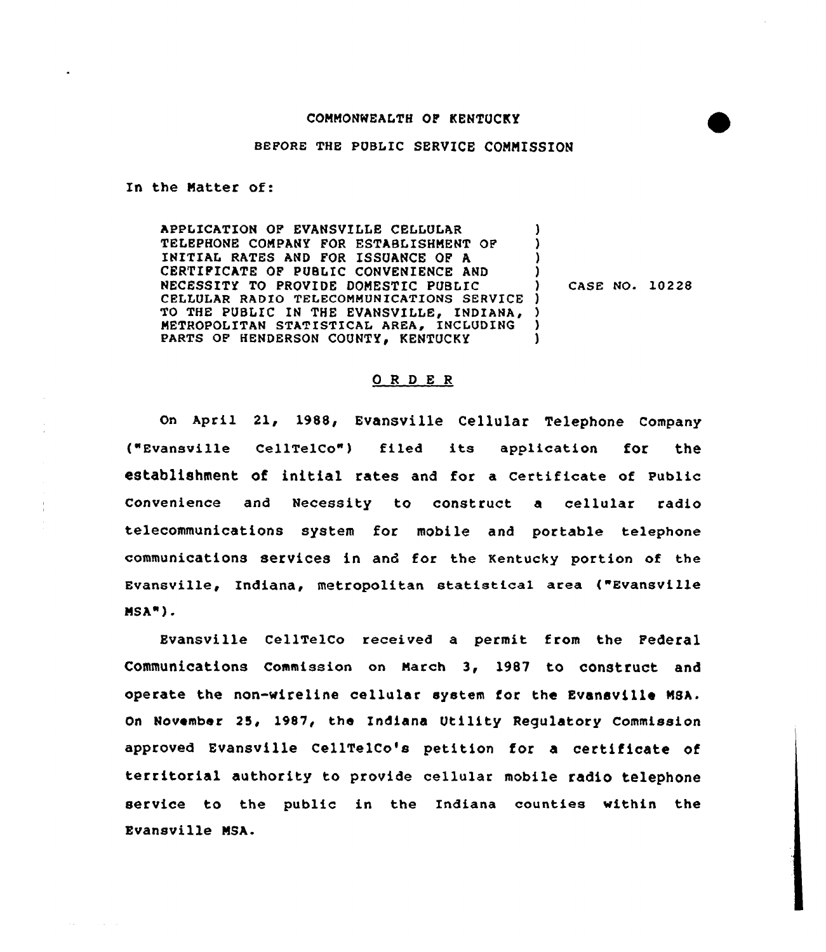## BEFORE THE PUBLIC SERVICE COMMISSION

In the Natter of:

APPLICATION OF EVANSVILLE CELLULAR TELEPHONE COMPANY FOR ESTABLISHMENT OF INITIAK RATES AND FOR ISSUANCE OP A CERTIFICATE OF PUBLIC CONVENIENCE AND NECESSITY TO PROVIDE DOMESTIC PUBLIC CELLULAR RADIO TELECOMMUNICATIONS SERVICE ) TO THE PUBLIC IN THE EVANSVILLE, INDIANA, ) METROPOLITAN STATISTICAL AREA, INCLUDING PARTS OF HENDERSON COUNTY, KENTUCKY ) ) )<br>)  $\mathbf{I}$ 

) CASE NO. 10228

## ORDER

on April 21, 1988, Evansville cellular Telephone company ("Evansville cellTelco") filed its application for the establishment of initial rates and for a certificate of public Convenience and Necessity to construct a cellular radio telecommunications system for mobile and portable telephone communications services in and for the Kentucky portion of the Evansville, Indiana, metropolitan statistical area ("Evansville NSA") <sup>~</sup>

Evansville CellTelCo received a permit from the Federal communications commission on March 3, 1987 to construct and operate the non-wireline cellular system for the Evansville NSA. On November 25, 1987, the Indiana Utility Regulatory Commission approved Evansville CellTelCo's petition for a certificate of territorial authority to provide cellular mobile radio telephone service to the public in the Indiana counties within the Evansville NSA.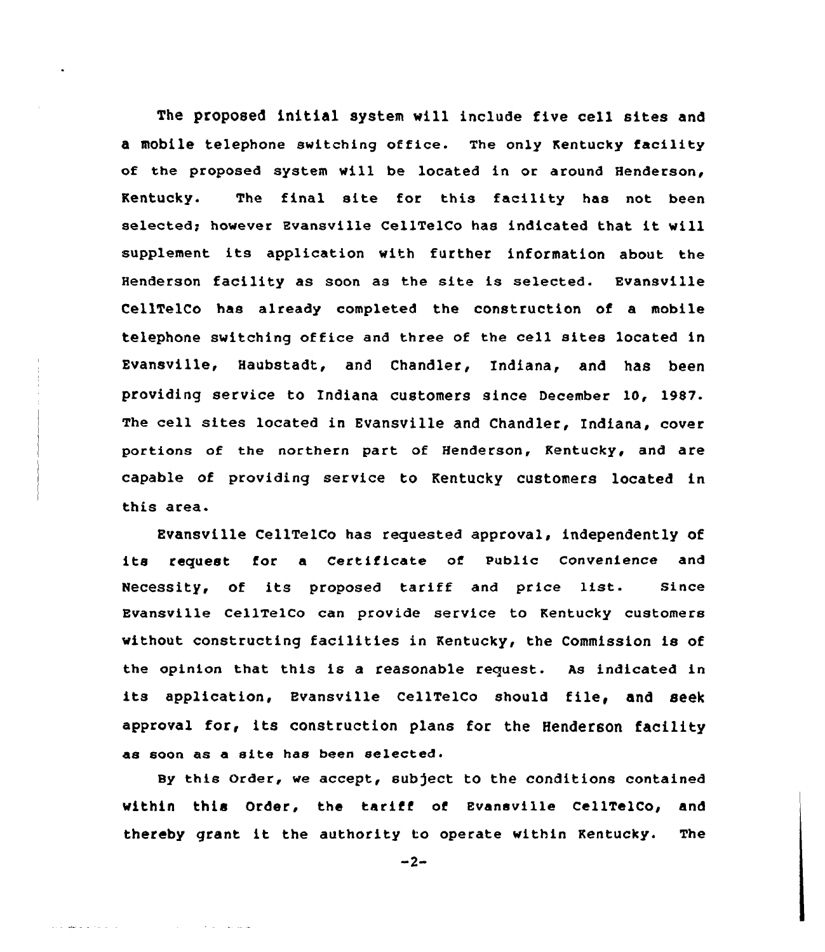The proposed initial system will include five cell sites and mobile telephone switching office. The only Kentucky facility of the proposed system will be located in or around Henderson, Kentucky. The final site for this facility has not been selected; however Evansville CellTelCo has indicated that it will supplement its application with further information about the Henderson facility as soon as the site is selected. Evansville CellTelCo has already completed the construction of a mobile telephone switching office and three of the ce11 sites 1ocated in Evansville, Haubstadt, and Chandler, Indiana, and has been providing service to Indiana customers since December 10, 1987. The cell sites located in Evansville and Chandler, Indiana, cover portions of the northern part of Henderson, Kentucky, and are capable of providing service to Kentucky customers located in this area.

Evansville CellTelCo has requested approval, independently of its request for <sup>a</sup> Certificate ot Public Convenience and Necessity, of its proposed tariff and price list. Since Evansville CellTelco can provide service to Kentucky customers without constructing facilities in Kentucky, the Commission is of the opinion that this is a reasonable request. As indicated in its application, Evansville CellTelco should file, and seek approval for, its construction plans for the Henderson facility as soon as a site has been selected.

By this Order, we accept, subject to the conditions contained within this Order, the tariff of Evansville CellTelCo, and thereby grant it the authority to operate within Kentucky. The

 $-2-$ 

فاستعدادها المتعارف والمتعارف

التار الدائدة الدافعة الأديد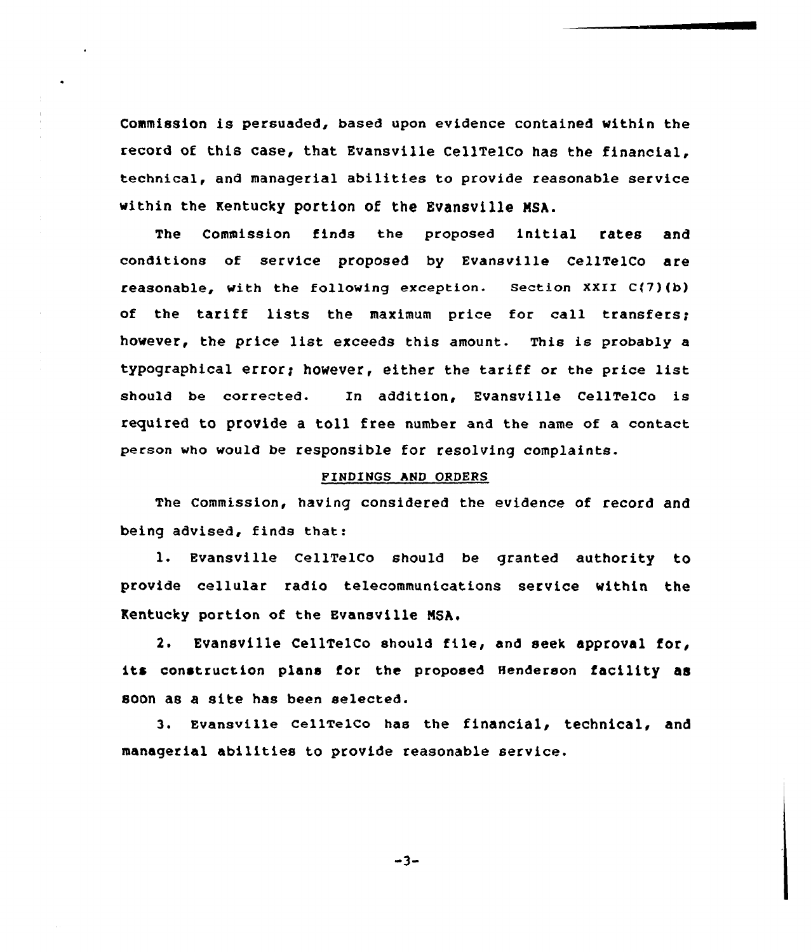Commission is persuaded, based upon evidence contained within the record of this case, that Evansville CellTelCo has the financial, technical, and managerial abilities to provide reasonable service within the Kentucky portion of the Evansville MSA.

The Commission finds the proposed initial rates and conditions of service proposed by Evansville CellTelCo are reasonable, with the following exception. Section XXII C(7)(b) of the tariff lists the maximum price for call transfers; however, the price list exceeds this amount. This is probably <sup>a</sup> typographical error; however, either the tariff or the price list should be corrected. In addition, Evansville CellTelCo is required to provide a toll free number and the name of a contact person who would be responsible for resolving complaints.

## FINDINGS hND ORDERS

The Commission, having considered the evidence of record and being advised, finds that:

l. Evansville CellTelCo should be granted authority to provide cellular radio telecommunications service within the Kentucky portion of the Evansville NSh,

2. Evansville CellTelCo should file, and seek approval for, its construction plans for the proposed Henderson facility as soon ae a site has been selected.

3. Evansville CellTelCo has the financial, technical, and managerial abilities to provide reasonable service.

 $-3-$